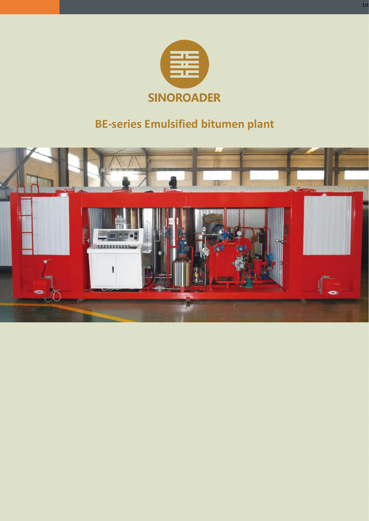

# **BE-series Emulsified bitumen plant**

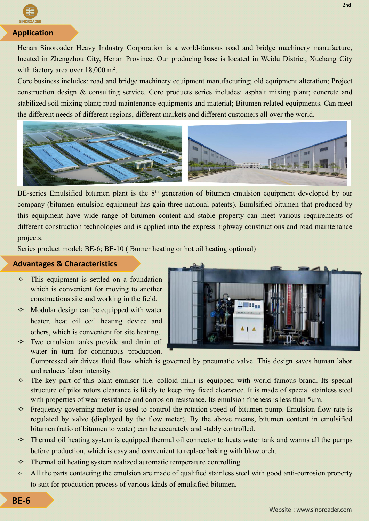

## **Application**

Henan Sinoroader Heavy Industry Corporation is a world-famous road and bridge machinery manufacture, located in Zhengzhou City, Henan Province. Our producing base is located in Weidu District, Xuchang City with factory area over  $18,000$  m<sup>2</sup>. .

Core business includes: road and bridge machinery equipment manufacturing; old equipment alteration; Project construction design & consulting service. Core products series includes: asphalt mixing plant; concrete and stabilized soil mixing plant; road maintenance equipments and material; Bitumen related equipments. Can meet the different needs of different regions, different markets and different customers all over the world.



BE-series Emulsified bitumen plant is the 8<sup>th</sup> generation of bitumen emulsion equipment developed by our company (bitumen emulsion equipment has gain three national patents). Emulsified bitumen that produced by this equipment have wide range of bitumen content and stable property can meet various requirements of different construction technologies and is applied into the express highway constructions and road maintenance projects.

Series product model: BE-6; BE-10 ( Burner heating or hot oil heating optional)

#### **Advantages & Characteristics**

- $\Diamond$  This equipment is settled on a foundation which is convenient for moving to another constructions site and working in the field.
- $\Diamond$  Modular design can be equipped with water heater, heat oil coil heating device and others, which is convenient for site heating.
- $\Diamond$  Two emulsion tanks provide and drain off water in turn for continuous production.



Compressed air drives fluid flow which is governed by pneumatic valve. This design saves human labor and reduces labor intensity.

- $\diamond$  The key part of this plant emulsor (i.e. colloid mill) is equipped with world famous brand. Its special structure of pilot rotors clearance is likely to keep tiny fixed clearance. It is made of special stainless steel with properties of wear resistance and corrosion resistance. Its emulsion fineness is less than 5μm.
- $\Diamond$  Frequency governing motor is used to control the rotation speed of bitumen pump. Emulsion flow rate is regulated by valve (displayed by the flow meter). By the above means, bitumen content in emulsified bitumen (ratio of bitumen to water) can be accurately and stably controlled.
- $\Diamond$  Thermal oil heating system is equipped thermal oil connector to heats water tank and warms all the pumps before production, which is easy and convenient to replace baking with blowtorch.
- $\Diamond$  Thermal oil heating system realized automatic temperature controlling.
- $\lozenge$  All the parts contacting the emulsion are made of qualified stainless steel with good anti-corrosion property to suit for production process of various kinds of emulsified bitumen.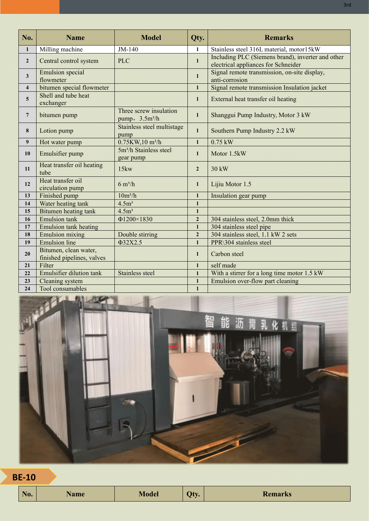| No.            | <b>Name</b>                                         | <b>Model</b>                                         | Qty.           | <b>Remarks</b>                                                                           |
|----------------|-----------------------------------------------------|------------------------------------------------------|----------------|------------------------------------------------------------------------------------------|
|                | Milling machine                                     | JM-140                                               | 1              | Stainless steel 316L material, motor15kW                                                 |
| $\overline{2}$ | Central control system                              | <b>PLC</b>                                           | $\mathbf{1}$   | Including PLC (Siemens brand), inverter and other<br>electrical appliances for Schneider |
| $\mathbf{3}$   | <b>Emulsion</b> special<br>flowmeter                |                                                      | $\mathbf{1}$   | Signal remote transmission, on-site display,<br>anti-corrosion                           |
| $\overline{4}$ | bitumen special flowmeter                           |                                                      | $\mathbf{1}$   | Signal remote transmission Insulation jacket                                             |
| 5              | Shell and tube heat<br>exchanger                    |                                                      | $\mathbf{1}$   | External heat transfer oil heating                                                       |
| $\overline{7}$ | bitumen pump                                        | Three screw insulation<br>pump, 3.5m <sup>3</sup> /h | $\mathbf{1}$   | Shanggui Pump Industry, Motor 3 kW                                                       |
| 8              | Lotion pump                                         | Stainless steel multistage<br>pump                   | $\mathbf{1}$   | Southern Pump Industry 2.2 kW                                                            |
| 9              | Hot water pump                                      | 0.75KW,10 m <sup>3</sup> /h                          | $\mathbf{1}$   | $0.75$ kW                                                                                |
| 10             | Emulsifier pump                                     | 5m <sup>3</sup> /h Stainless steel<br>gear pump      | $\mathbf{1}$   | Motor 1.5kW                                                                              |
| 11             | Heat transfer oil heating<br>tube                   | 15kw                                                 | $\overline{2}$ | 30 kW                                                                                    |
| 12             | Heat transfer oil<br>circulation pump               | $6 \text{ m}^3/h$                                    | $\mathbf{1}$   | Lijiu Motor 1.5                                                                          |
| 13             | Finished pump                                       | $10m^3/h$                                            | $\mathbf{1}$   | Insulation gear pump                                                                     |
| 14             | Water heating tank                                  | 4.5m <sup>3</sup>                                    | $\mathbf{1}$   |                                                                                          |
| 15             | Bitumen heating tank                                | 4.5m <sup>3</sup>                                    | $\mathbf{1}$   |                                                                                          |
| 16             | <b>Emulsion</b> tank                                | Φ1200×1830                                           | $\overline{2}$ | 304 stainless steel, 2.0mm thick                                                         |
| 17             | <b>Emulsion tank heating</b>                        |                                                      | $\mathbf{1}$   | 304 stainless steel pipe                                                                 |
| 18             | <b>Emulsion mixing</b>                              | Double stirring                                      | $\overline{2}$ | 304 stainless steel, 1.1 kW 2 sets                                                       |
| 19             | <b>Emulsion</b> line                                | Φ32X2.5                                              | $\mathbf{1}$   | PPR\304 stainless steel                                                                  |
| 20             | Bitumen, clean water,<br>finished pipelines, valves |                                                      | $\mathbf{1}$   | Carbon steel                                                                             |
| 21             | Filter                                              |                                                      | $\mathbf{1}$   | self made                                                                                |
| 22             | <b>Emulsifier dilution tank</b>                     | <b>Stainless steel</b>                               | $\mathbf{1}$   | With a stirrer for a long time motor 1.5 kW                                              |
| 23             | Cleaning system                                     |                                                      | $\mathbf{1}$   | Emulsion over-flow part cleaning                                                         |
| 24             | Tool consumables                                    |                                                      | $\mathbf{1}$   |                                                                                          |

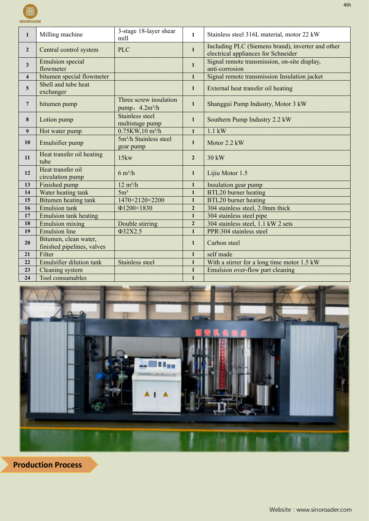SINOROADE

|                         | Milling machine                                     | 3-stage 18-layer shear<br>mill                       | 1              | Stainless steel 316L material, motor 22 kW                                               |  |
|-------------------------|-----------------------------------------------------|------------------------------------------------------|----------------|------------------------------------------------------------------------------------------|--|
| $\overline{2}$          | Central control system                              | <b>PLC</b>                                           | $\mathbf{1}$   | Including PLC (Siemens brand), inverter and other<br>electrical appliances for Schneider |  |
| 3                       | <b>Emulsion</b> special<br>flowmeter                |                                                      | $\mathbf{1}$   | Signal remote transmission, on-site display,<br>anti-corrosion                           |  |
| $\overline{\mathbf{4}}$ | bitumen special flowmeter                           |                                                      | $\mathbf{1}$   | Signal remote transmission Insulation jacket                                             |  |
| 5                       | Shell and tube heat<br>exchanger                    |                                                      | $\mathbf{1}$   | External heat transfer oil heating                                                       |  |
| $\overline{7}$          | bitumen pump                                        | Three screw insulation<br>pump, 4.2m <sup>3</sup> /h | $\mathbf{1}$   | Shanggui Pump Industry, Motor 3 kW                                                       |  |
| 8                       | Lotion pump                                         | Stainless steel<br>multistage pump                   | $\mathbf{1}$   | Southern Pump Industry 2.2 kW                                                            |  |
| 9                       | Hot water pump                                      | 0.75KW, 10 m <sup>3</sup> /h                         | $\mathbf{1}$   | $1.1 \text{ kW}$                                                                         |  |
| 10                      | Emulsifier pump                                     | 5m <sup>3</sup> /h Stainless steel<br>gear pump      | $\mathbf{1}$   | Motor 2.2 kW                                                                             |  |
| 11                      | Heat transfer oil heating<br>tube                   | 15kw                                                 | $\overline{2}$ | $30 \text{ kW}$                                                                          |  |
| 12                      | Heat transfer oil<br>circulation pump               | $6 \text{ m}^3/h$                                    | $\mathbf{1}$   | Lijiu Motor 1.5                                                                          |  |
| 13                      | Finished pump                                       | $12 \text{ m}^3/\text{h}$                            | $\mathbf{1}$   | Insulation gear pump                                                                     |  |
| 14                      | Water heating tank                                  | 5m <sup>3</sup>                                      | $\mathbf{1}$   | BTL20 burner heating                                                                     |  |
| 15                      | Bitumen heating tank                                | 1470×2120×2200                                       | $\mathbf{1}$   | BTL20 burner heating                                                                     |  |
| 16                      | <b>Emulsion</b> tank                                | Φ1200×1830                                           | $\overline{2}$ | 304 stainless steel, 2.0mm thick                                                         |  |
| 17                      | <b>Emulsion tank heating</b>                        |                                                      | $\mathbf{1}$   | 304 stainless steel pipe                                                                 |  |
| 18                      | <b>Emulsion mixing</b>                              | Double stirring                                      | $\overline{2}$ | 304 stainless steel, 1.1 kW 2 sets                                                       |  |
| 19                      | <b>Emulsion</b> line                                | $\Phi$ 32X2.5                                        | $\mathbf{1}$   | PPR\304 stainless steel                                                                  |  |
| 20                      | Bitumen, clean water,<br>finished pipelines, valves |                                                      | $\mathbf{1}$   | Carbon steel                                                                             |  |
| 21                      | Filter                                              |                                                      | $\mathbf{1}$   | self made                                                                                |  |
| 22                      | <b>Emulsifier dilution tank</b>                     | Stainless steel                                      | $\mathbf{1}$   | With a stirrer for a long time motor 1.5 kW                                              |  |
| 23                      | Cleaning system                                     |                                                      | $\mathbf{1}$   | Emulsion over-flow part cleaning                                                         |  |
| 24                      | Tool consumables                                    |                                                      | $\mathbf{1}$   |                                                                                          |  |
|                         |                                                     |                                                      |                |                                                                                          |  |



**Production Process**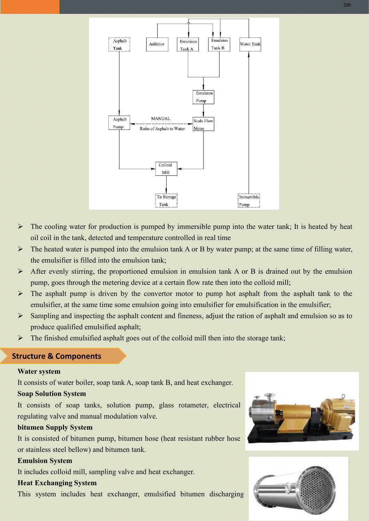

- $\triangleright$  The cooling water for production is pumped by immersible pump into the water tank; It is heated by heat oil coil in the tank, detected and temperature controlled in real time
- $\triangleright$  The heated water is pumped into the emulsion tank A or B by water pump; at the same time of filling water, the emulsifier is filled into the emulsion tank;
- $\triangleright$  After evenly stirring, the proportioned emulsion in emulsion tank A or B is drained out by the emulsion pump, goes through the metering device at a certain flow rate then into the colloid mill;
- $\triangleright$  The asphalt pump is driven by the convertor motor to pump hot asphalt from the asphalt tank to the emulsifier, at the same time some emulsion going into emulsifier for emulsification in the emulsifier;
- $\triangleright$  Sampling and inspecting the asphalt content and fineness, adjust the ration of asphalt and emulsion so as to produce qualified emulsified asphalt;
- $\triangleright$  The finished emulsified asphalt goes out of the colloid mill then into the storage tank;

## **Structure & Components**

#### **Water system**

It consists of water boiler, soap tank A, soap tank B, and heat exchanger.

#### **Soap Solution System**

It consists of soap tanks, solution pump, glass rotameter, electrical regulating valve and manual modulation valve.

#### **bitumen Supply System**

It is consisted of bitumen pump, bitumen hose (heat resistant rubber hose or stainless steel bellow) and bitumen tank.

#### **Emulsion System**

It includes colloid mill, sampling valve and heat exchanger.

## **Heat Exchanging System**

This system includes heat exchanger, emulsified bitumen discharging



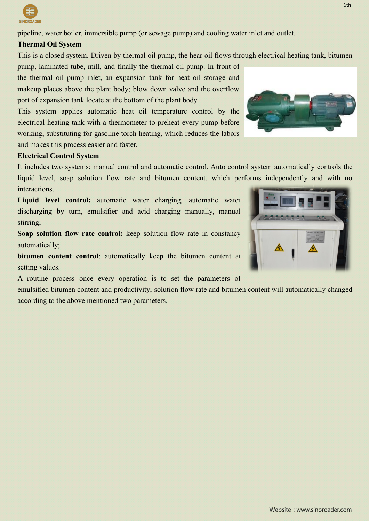pipeline, water boiler, immersible pump (or sewage pump) and cooling water inlet and outlet.

# **Thermal Oil System**

This is a closed system. Driven by thermal oil pump, the hear oil flows through electrical heating tank, bitumen

pump, laminated tube, mill, and finally the thermal oil pump. In front of the thermal oil pump inlet, an expansion tank for heat oil storage and makeup places above the plant body; blow down valve and the overflow port of expansion tank locate at the bottom of the plant body.

This system applies automatic heat oil temperature control by the electrical heating tank with a thermometer to preheat every pump before working, substituting for gasoline torch heating, which reduces the labors and makes this process easier and faster.

## **Electrical Control System**

It includes two systems: manual control and automatic control. Auto control system automatically controls the liquid level, soap solution flow rate and bitumen content, which performs independently and with no interactions.

**Liquid level control:** automatic water charging, automatic water discharging by turn, emulsifier and acid charging manually, manual stirring;

**Soap solution flow rate control:** keep solution flow rate in constancy automatically;

**bitumen content control**: automatically keep the bitumen content at setting values.

A routine process once every operation is to set the parameters of

emulsified bitumen content and productivity; solution flow rate and bitumen content will automatically changed according to the above mentioned two parameters.